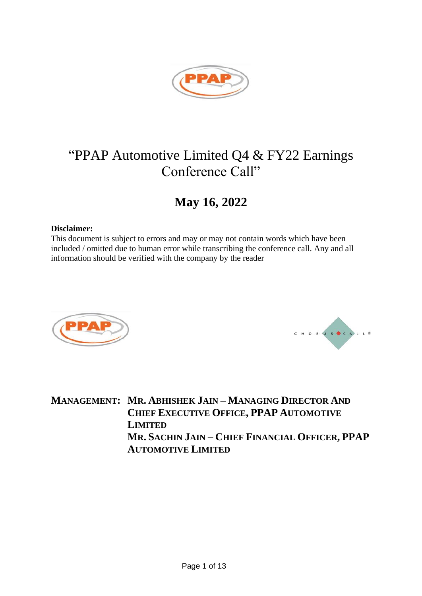

# "PPAP Automotive Limited Q4 & FY22 Earnings Conference Call"

## **May 16, 2022**

### **Disclaimer:**

This document is subject to errors and may or may not contain words which have been included / omitted due to human error while transcribing the conference call. Any and all information should be verified with the company by the reader





**MANAGEMENT: MR. ABHISHEK JAIN – MANAGING DIRECTOR AND CHIEF EXECUTIVE OFFICE, PPAP AUTOMOTIVE LIMITED MR. SACHIN JAIN – CHIEF FINANCIAL OFFICER, PPAP AUTOMOTIVE LIMITED**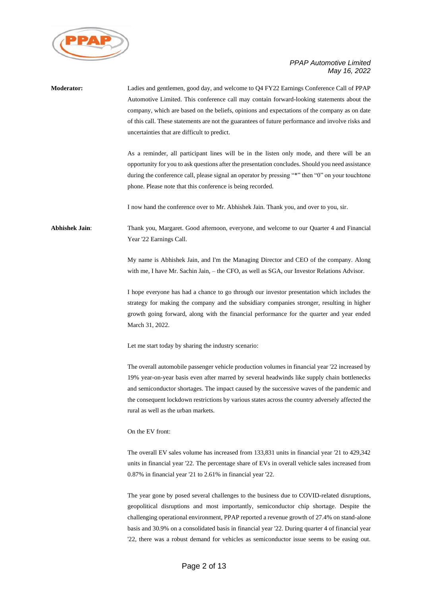

| Moderator:     | Ladies and gentlemen, good day, and welcome to Q4 FY22 Earnings Conference Call of PPAP<br>Automotive Limited. This conference call may contain forward-looking statements about the<br>company, which are based on the beliefs, opinions and expectations of the company as on date<br>of this call. These statements are not the guarantees of future performance and involve risks and<br>uncertainties that are difficult to predict.                                                |
|----------------|------------------------------------------------------------------------------------------------------------------------------------------------------------------------------------------------------------------------------------------------------------------------------------------------------------------------------------------------------------------------------------------------------------------------------------------------------------------------------------------|
|                | As a reminder, all participant lines will be in the listen only mode, and there will be an<br>opportunity for you to ask questions after the presentation concludes. Should you need assistance<br>during the conference call, please signal an operator by pressing "*" then "0" on your touchtone<br>phone. Please note that this conference is being recorded.                                                                                                                        |
|                | I now hand the conference over to Mr. Abhishek Jain. Thank you, and over to you, sir.                                                                                                                                                                                                                                                                                                                                                                                                    |
| Abhishek Jain: | Thank you, Margaret. Good afternoon, everyone, and welcome to our Quarter 4 and Financial<br>Year '22 Earnings Call.                                                                                                                                                                                                                                                                                                                                                                     |
|                | My name is Abhishek Jain, and I'm the Managing Director and CEO of the company. Along<br>with me, I have Mr. Sachin Jain, – the CFO, as well as SGA, our Investor Relations Advisor.                                                                                                                                                                                                                                                                                                     |
|                | I hope everyone has had a chance to go through our investor presentation which includes the<br>strategy for making the company and the subsidiary companies stronger, resulting in higher<br>growth going forward, along with the financial performance for the quarter and year ended<br>March 31, 2022.                                                                                                                                                                                |
|                | Let me start today by sharing the industry scenario:                                                                                                                                                                                                                                                                                                                                                                                                                                     |
|                | The overall automobile passenger vehicle production volumes in financial year '22 increased by<br>19% year-on-year basis even after marred by several headwinds like supply chain bottlenecks<br>and semiconductor shortages. The impact caused by the successive waves of the pandemic and<br>the consequent lockdown restrictions by various states across the country adversely affected the<br>rural as well as the urban markets.                                                   |
|                | On the EV front:                                                                                                                                                                                                                                                                                                                                                                                                                                                                         |
|                | The overall EV sales volume has increased from 133,831 units in financial year '21 to 429,342<br>units in financial year '22. The percentage share of EVs in overall vehicle sales increased from<br>0.87% in financial year '21 to 2.61% in financial year '22.                                                                                                                                                                                                                         |
|                | The year gone by posed several challenges to the business due to COVID-related disruptions,<br>geopolitical disruptions and most importantly, semiconductor chip shortage. Despite the<br>challenging operational environment, PPAP reported a revenue growth of 27.4% on stand-alone<br>basis and 30.9% on a consolidated basis in financial year '22. During quarter 4 of financial year<br>'22, there was a robust demand for vehicles as semiconductor issue seems to be easing out. |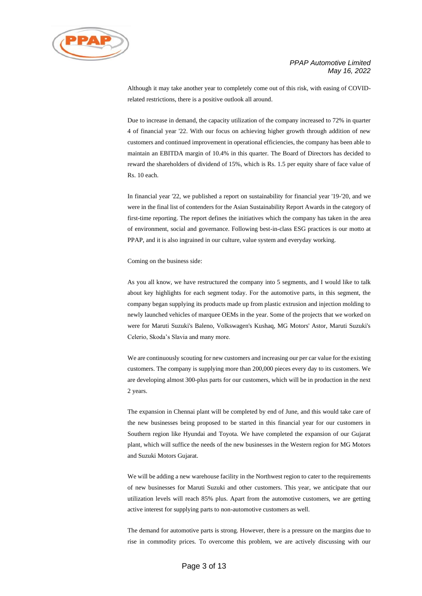

Although it may take another year to completely come out of this risk, with easing of COVIDrelated restrictions, there is a positive outlook all around.

Due to increase in demand, the capacity utilization of the company increased to 72% in quarter 4 of financial year '22. With our focus on achieving higher growth through addition of new customers and continued improvement in operational efficiencies, the company has been able to maintain an EBITDA margin of 10.4% in this quarter. The Board of Directors has decided to reward the shareholders of dividend of 15%, which is Rs. 1.5 per equity share of face value of Rs. 10 each.

In financial year '22, we published a report on sustainability for financial year '19-'20, and we were in the final list of contenders for the Asian Sustainability Report Awards in the category of first-time reporting. The report defines the initiatives which the company has taken in the area of environment, social and governance. Following best-in-class ESG practices is our motto at PPAP, and it is also ingrained in our culture, value system and everyday working.

#### Coming on the business side:

As you all know, we have restructured the company into 5 segments, and I would like to talk about key highlights for each segment today. For the automotive parts, in this segment, the company began supplying its products made up from plastic extrusion and injection molding to newly launched vehicles of marquee OEMs in the year. Some of the projects that we worked on were for Maruti Suzuki's Baleno, Volkswagen's Kushaq, MG Motors' Astor, Maruti Suzuki's Celerio, Skoda's Slavia and many more.

We are continuously scouting for new customers and increasing our per car value for the existing customers. The company is supplying more than 200,000 pieces every day to its customers. We are developing almost 300-plus parts for our customers, which will be in production in the next 2 years.

The expansion in Chennai plant will be completed by end of June, and this would take care of the new businesses being proposed to be started in this financial year for our customers in Southern region like Hyundai and Toyota. We have completed the expansion of our Gujarat plant, which will suffice the needs of the new businesses in the Western region for MG Motors and Suzuki Motors Gujarat.

We will be adding a new warehouse facility in the Northwest region to cater to the requirements of new businesses for Maruti Suzuki and other customers. This year, we anticipate that our utilization levels will reach 85% plus. Apart from the automotive customers, we are getting active interest for supplying parts to non-automotive customers as well.

The demand for automotive parts is strong. However, there is a pressure on the margins due to rise in commodity prices. To overcome this problem, we are actively discussing with our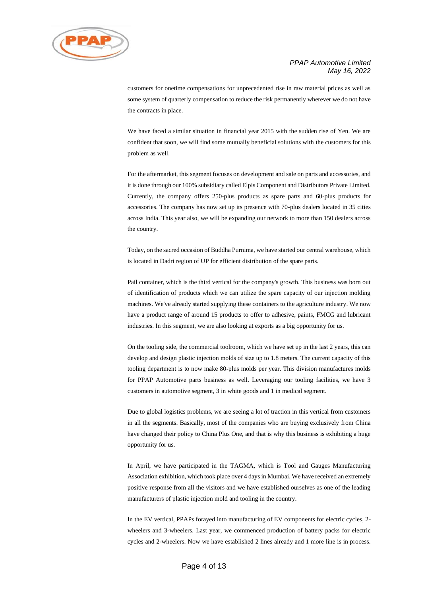

customers for onetime compensations for unprecedented rise in raw material prices as well as some system of quarterly compensation to reduce the risk permanently wherever we do not have the contracts in place.

We have faced a similar situation in financial year 2015 with the sudden rise of Yen. We are confident that soon, we will find some mutually beneficial solutions with the customers for this problem as well.

For the aftermarket, this segment focuses on development and sale on parts and accessories, and it is done through our 100% subsidiary called Elpis Component and Distributors Private Limited. Currently, the company offers 250-plus products as spare parts and 60-plus products for accessories. The company has now set up its presence with 70-plus dealers located in 35 cities across India. This year also, we will be expanding our network to more than 150 dealers across the country.

Today, on the sacred occasion of Buddha Purnima, we have started our central warehouse, which is located in Dadri region of UP for efficient distribution of the spare parts.

Pail container, which is the third vertical for the company's growth. This business was born out of identification of products which we can utilize the spare capacity of our injection molding machines. We've already started supplying these containers to the agriculture industry. We now have a product range of around 15 products to offer to adhesive, paints, FMCG and lubricant industries. In this segment, we are also looking at exports as a big opportunity for us.

On the tooling side, the commercial toolroom, which we have set up in the last 2 years, this can develop and design plastic injection molds of size up to 1.8 meters. The current capacity of this tooling department is to now make 80-plus molds per year. This division manufactures molds for PPAP Automotive parts business as well. Leveraging our tooling facilities, we have 3 customers in automotive segment, 3 in white goods and 1 in medical segment.

Due to global logistics problems, we are seeing a lot of traction in this vertical from customers in all the segments. Basically, most of the companies who are buying exclusively from China have changed their policy to China Plus One, and that is why this business is exhibiting a huge opportunity for us.

In April, we have participated in the TAGMA, which is Tool and Gauges Manufacturing Association exhibition, which took place over 4 days in Mumbai. We have received an extremely positive response from all the visitors and we have established ourselves as one of the leading manufacturers of plastic injection mold and tooling in the country.

In the EV vertical, PPAPs forayed into manufacturing of EV components for electric cycles, 2 wheelers and 3-wheelers. Last year, we commenced production of battery packs for electric cycles and 2-wheelers. Now we have established 2 lines already and 1 more line is in process.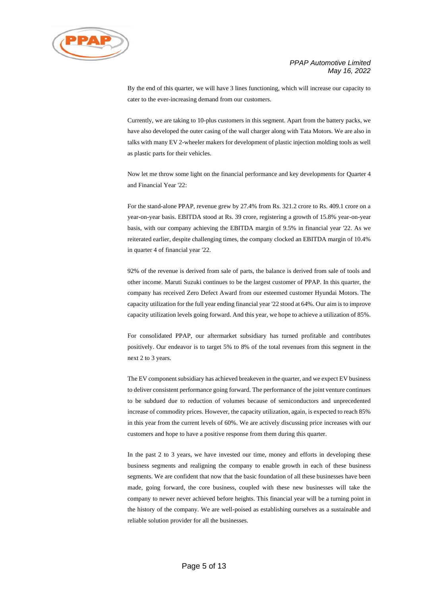



By the end of this quarter, we will have 3 lines functioning, which will increase our capacity to cater to the ever-increasing demand from our customers.

Currently, we are taking to 10-plus customers in this segment. Apart from the battery packs, we have also developed the outer casing of the wall charger along with Tata Motors. We are also in talks with many EV 2-wheeler makers for development of plastic injection molding tools as well as plastic parts for their vehicles.

Now let me throw some light on the financial performance and key developments for Quarter 4 and Financial Year '22:

For the stand-alone PPAP, revenue grew by 27.4% from Rs. 321.2 crore to Rs. 409.1 crore on a year-on-year basis. EBITDA stood at Rs. 39 crore, registering a growth of 15.8% year-on-year basis, with our company achieving the EBITDA margin of 9.5% in financial year '22. As we reiterated earlier, despite challenging times, the company clocked an EBITDA margin of 10.4% in quarter 4 of financial year '22.

92% of the revenue is derived from sale of parts, the balance is derived from sale of tools and other income. Maruti Suzuki continues to be the largest customer of PPAP. In this quarter, the company has received Zero Defect Award from our esteemed customer Hyundai Motors. The capacity utilization for the full year ending financial year '22 stood at 64%. Our aim is to improve capacity utilization levels going forward. And this year, we hope to achieve a utilization of 85%.

For consolidated PPAP, our aftermarket subsidiary has turned profitable and contributes positively. Our endeavor is to target 5% to 8% of the total revenues from this segment in the next 2 to 3 years.

The EV component subsidiary has achieved breakeven in the quarter, and we expect EV business to deliver consistent performance going forward. The performance of the joint venture continues to be subdued due to reduction of volumes because of semiconductors and unprecedented increase of commodity prices. However, the capacity utilization, again, is expected to reach 85% in this year from the current levels of 60%. We are actively discussing price increases with our customers and hope to have a positive response from them during this quarter.

In the past 2 to 3 years, we have invested our time, money and efforts in developing these business segments and realigning the company to enable growth in each of these business segments. We are confident that now that the basic foundation of all these businesses have been made, going forward, the core business, coupled with these new businesses will take the company to newer never achieved before heights. This financial year will be a turning point in the history of the company. We are well-poised as establishing ourselves as a sustainable and reliable solution provider for all the businesses.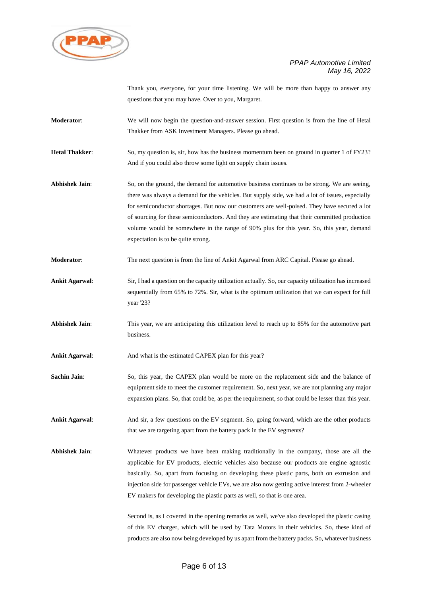

Thank you, everyone, for your time listening. We will be more than happy to answer any questions that you may have. Over to you, Margaret.

- **Moderator**: We will now begin the question-and-answer session. First question is from the line of Hetal Thakker from ASK Investment Managers. Please go ahead.
- **Hetal Thakker:** So, my question is, sir, how has the business momentum been on ground in quarter 1 of FY23? And if you could also throw some light on supply chain issues.
- Abhishek Jain: So, on the ground, the demand for automotive business continues to be strong. We are seeing, there was always a demand for the vehicles. But supply side, we had a lot of issues, especially for semiconductor shortages. But now our customers are well-poised. They have secured a lot of sourcing for these semiconductors. And they are estimating that their committed production volume would be somewhere in the range of 90% plus for this year. So, this year, demand expectation is to be quite strong.
- **Moderator:** The next question is from the line of Ankit Agarwal from ARC Capital. Please go ahead.
- **Ankit Agarwal**: Sir, I had a question on the capacity utilization actually. So, our capacity utilization has increased sequentially from 65% to 72%. Sir, what is the optimum utilization that we can expect for full year '23?
- **Abhishek Jain**: This year, we are anticipating this utilization level to reach up to 85% for the automotive part business.

Ankit Agarwal: And what is the estimated CAPEX plan for this year?

- **Sachin Jain:** So, this year, the CAPEX plan would be more on the replacement side and the balance of equipment side to meet the customer requirement. So, next year, we are not planning any major expansion plans. So, that could be, as per the requirement, so that could be lesser than this year.
- **Ankit Agarwal**: And sir, a few questions on the EV segment. So, going forward, which are the other products that we are targeting apart from the battery pack in the EV segments?
- **Abhishek Jain**: Whatever products we have been making traditionally in the company, those are all the applicable for EV products, electric vehicles also because our products are engine agnostic basically. So, apart from focusing on developing these plastic parts, both on extrusion and injection side for passenger vehicle EVs, we are also now getting active interest from 2-wheeler EV makers for developing the plastic parts as well, so that is one area.

Second is, as I covered in the opening remarks as well, we've also developed the plastic casing of this EV charger, which will be used by Tata Motors in their vehicles. So, these kind of products are also now being developed by us apart from the battery packs. So, whatever business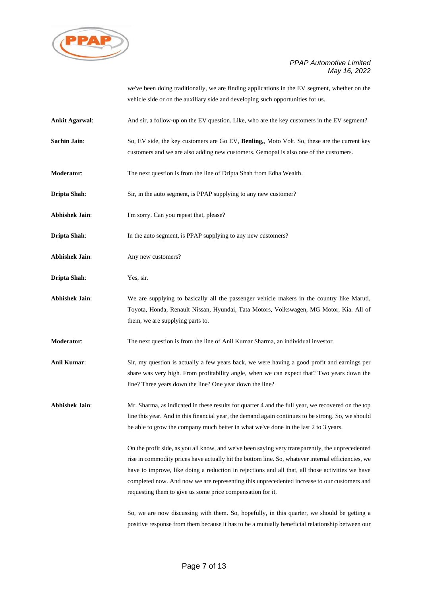

we've been doing traditionally, we are finding applications in the EV segment, whether on the vehicle side or on the auxiliary side and developing such opportunities for us.

- Ankit Agarwal: And sir, a follow-up on the EV question. Like, who are the key customers in the EV segment?
- **Sachin Jain**: So, EV side, the key customers are Go EV, **Benling,**, Moto Volt. So, these are the current key customers and we are also adding new customers. Gemopai is also one of the customers.
- **Moderator**: The next question is from the line of Dripta Shah from Edha Wealth.
- **Dripta Shah**: Sir, in the auto segment, is PPAP supplying to any new customer?
- **Abhishek Jain:** I'm sorry. Can you repeat that, please?
- **Dripta Shah**: In the auto segment, is PPAP supplying to any new customers?
- Abhishek Jain: Any new customers?
- **Dripta Shah**: Yes, sir.
- **Abhishek Jain**: We are supplying to basically all the passenger vehicle makers in the country like Maruti, Toyota, Honda, Renault Nissan, Hyundai, Tata Motors, Volkswagen, MG Motor, Kia. All of them, we are supplying parts to.
- **Moderator**: The next question is from the line of Anil Kumar Sharma, an individual investor.
- **Anil Kumar**: Sir, my question is actually a few years back, we were having a good profit and earnings per share was very high. From profitability angle, when we can expect that? Two years down the line? Three years down the line? One year down the line?
- **Abhishek Jain**: Mr. Sharma, as indicated in these results for quarter 4 and the full year, we recovered on the top line this year. And in this financial year, the demand again continues to be strong. So, we should be able to grow the company much better in what we've done in the last 2 to 3 years.

On the profit side, as you all know, and we've been saying very transparently, the unprecedented rise in commodity prices have actually hit the bottom line. So, whatever internal efficiencies, we have to improve, like doing a reduction in rejections and all that, all those activities we have completed now. And now we are representing this unprecedented increase to our customers and requesting them to give us some price compensation for it.

So, we are now discussing with them. So, hopefully, in this quarter, we should be getting a positive response from them because it has to be a mutually beneficial relationship between our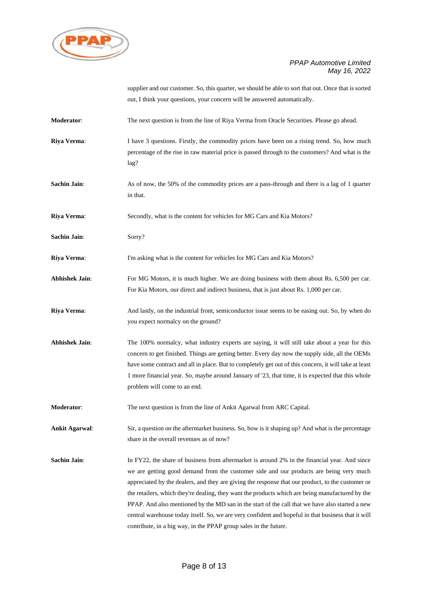

supplier and our customer. So, this quarter, we should be able to sort that out. Once that is sorted out, I think your questions, your concern will be answered automatically.

- **Moderator**: The next question is from the line of Riya Verma from Oracle Securities. Please go ahead.
- **Riya Verma:** I have 3 questions. Firstly, the commodity prices have been on a rising trend. So, how much percentage of the rise in raw material price is passed through to the customers? And what is the lag?
- **Sachin Jain:** As of now, the 50% of the commodity prices are a pass-through and there is a lag of 1 quarter in that.
- **Riya Verma**: Secondly, what is the content for vehicles for MG Cars and Kia Motors?
- **Sachin Jain**: Sorry?
- **Riya Verma:** I'm asking what is the content for vehicles for MG Cars and Kia Motors?
- Abhishek Jain: For MG Motors, it is much higher. We are doing business with them about Rs. 6,500 per car. For Kia Motors, our direct and indirect business, that is just about Rs. 1,000 per car.
- **Riya Verma:** And lastly, on the industrial front, semiconductor issue seems to be easing out. So, by when do you expect normalcy on the ground?
- **Abhishek Jain**: The 100% normalcy, what industry experts are saying, it will still take about a year for this concern to get finished. Things are getting better. Every day now the supply side, all the OEMs have some contract and all in place. But to completely get out of this concern, it will take at least 1 more financial year. So, maybe around January of '23, that time, it is expected that this whole problem will come to an end.
- **Moderator:** The next question is from the line of Ankit Agarwal from ARC Capital.

**Ankit Agarwal**: Sir, a question on the aftermarket business. So, how is it shaping up? And what is the percentage share in the overall revenues as of now?

**Sachin Jain:** In FY22, the share of business from aftermarket is around 2% in the financial year. And since we are getting good demand from the customer side and our products are being very much appreciated by the dealers, and they are giving the response that our product, to the customer or the retailers, which they're dealing, they want the products which are being manufactured by the PPAP. And also mentioned by the MD san in the start of the call that we have also started a new central warehouse today itself. So, we are very confident and hopeful in that business that it will contribute, in a big way, in the PPAP group sales in the future.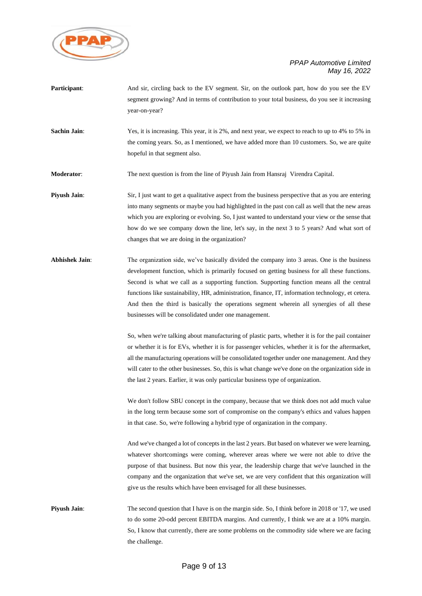

| Participant:          | And sir, circling back to the EV segment. Sir, on the outlook part, how do you see the EV<br>segment growing? And in terms of contribution to your total business, do you see it increasing<br>year-on-year?                                                                                                                                                                                                                                                                                                                                            |
|-----------------------|---------------------------------------------------------------------------------------------------------------------------------------------------------------------------------------------------------------------------------------------------------------------------------------------------------------------------------------------------------------------------------------------------------------------------------------------------------------------------------------------------------------------------------------------------------|
| <b>Sachin Jain:</b>   | Yes, it is increasing. This year, it is 2%, and next year, we expect to reach to up to 4% to 5% in<br>the coming years. So, as I mentioned, we have added more than 10 customers. So, we are quite<br>hopeful in that segment also.                                                                                                                                                                                                                                                                                                                     |
| <b>Moderator:</b>     | The next question is from the line of Piyush Jain from Hansraj Virendra Capital.                                                                                                                                                                                                                                                                                                                                                                                                                                                                        |
| Piyush Jain:          | Sir, I just want to get a qualitative aspect from the business perspective that as you are entering<br>into many segments or maybe you had highlighted in the past con call as well that the new areas<br>which you are exploring or evolving. So, I just wanted to understand your view or the sense that<br>how do we see company down the line, let's say, in the next 3 to 5 years? And what sort of<br>changes that we are doing in the organization?                                                                                              |
| <b>Abhishek Jain:</b> | The organization side, we've basically divided the company into 3 areas. One is the business<br>development function, which is primarily focused on getting business for all these functions.<br>Second is what we call as a supporting function. Supporting function means all the central<br>functions like sustainability, HR, administration, finance, IT, information technology, et cetera.<br>And then the third is basically the operations segment wherein all synergies of all these<br>businesses will be consolidated under one management. |
|                       | So, when we're talking about manufacturing of plastic parts, whether it is for the pail container<br>or whether it is for EVs, whether it is for passenger vehicles, whether it is for the aftermarket,<br>all the manufacturing operations will be consolidated together under one management. And they<br>will cater to the other businesses. So, this is what change we've done on the organization side in<br>the last 2 years. Earlier, it was only particular business type of organization.                                                      |
|                       | We don't follow SBU concept in the company, because that we think does not add much value<br>in the long term because some sort of compromise on the company's ethics and values happen<br>in that case. So, we're following a hybrid type of organization in the company.                                                                                                                                                                                                                                                                              |
|                       | And we've changed a lot of concepts in the last 2 years. But based on whatever we were learning,<br>whatever shortcomings were coming, wherever areas where we were not able to drive the<br>purpose of that business. But now this year, the leadership charge that we've launched in the<br>company and the organization that we've set, we are very confident that this organization will<br>give us the results which have been envisaged for all these businesses.                                                                                 |
| Piyush Jain:          | The second question that I have is on the margin side. So, I think before in 2018 or '17, we used<br>to do some 20-odd percent EBITDA margins. And currently, I think we are at a 10% margin.<br>So, I know that currently, there are some problems on the commodity side where we are facing                                                                                                                                                                                                                                                           |

the challenge.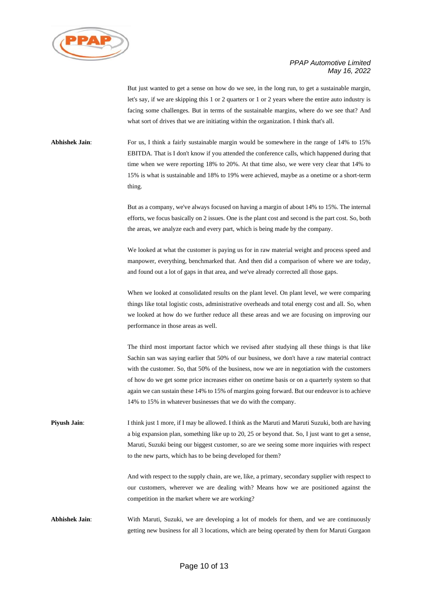

But just wanted to get a sense on how do we see, in the long run, to get a sustainable margin, let's say, if we are skipping this 1 or 2 quarters or 1 or 2 years where the entire auto industry is facing some challenges. But in terms of the sustainable margins, where do we see that? And what sort of drives that we are initiating within the organization. I think that's all.

Abhishek Jain: For us, I think a fairly sustainable margin would be somewhere in the range of 14% to 15% EBITDA. That is I don't know if you attended the conference calls, which happened during that time when we were reporting 18% to 20%. At that time also, we were very clear that 14% to 15% is what is sustainable and 18% to 19% were achieved, maybe as a onetime or a short-term thing.

> But as a company, we've always focused on having a margin of about 14% to 15%. The internal efforts, we focus basically on 2 issues. One is the plant cost and second is the part cost. So, both the areas, we analyze each and every part, which is being made by the company.

> We looked at what the customer is paying us for in raw material weight and process speed and manpower, everything, benchmarked that. And then did a comparison of where we are today, and found out a lot of gaps in that area, and we've already corrected all those gaps.

> When we looked at consolidated results on the plant level. On plant level, we were comparing things like total logistic costs, administrative overheads and total energy cost and all. So, when we looked at how do we further reduce all these areas and we are focusing on improving our performance in those areas as well.

> The third most important factor which we revised after studying all these things is that like Sachin san was saying earlier that 50% of our business, we don't have a raw material contract with the customer. So, that 50% of the business, now we are in negotiation with the customers of how do we get some price increases either on onetime basis or on a quarterly system so that again we can sustain these 14% to 15% of margins going forward. But our endeavor is to achieve 14% to 15% in whatever businesses that we do with the company.

**Piyush Jain**: I think just 1 more, if I may be allowed. I think as the Maruti and Maruti Suzuki, both are having a big expansion plan, something like up to 20, 25 or beyond that. So, I just want to get a sense, Maruti, Suzuki being our biggest customer, so are we seeing some more inquiries with respect to the new parts, which has to be being developed for them?

> And with respect to the supply chain, are we, like, a primary, secondary supplier with respect to our customers, wherever we are dealing with? Means how we are positioned against the competition in the market where we are working?

**Abhishek Jain**: With Maruti, Suzuki, we are developing a lot of models for them, and we are continuously getting new business for all 3 locations, which are being operated by them for Maruti Gurgaon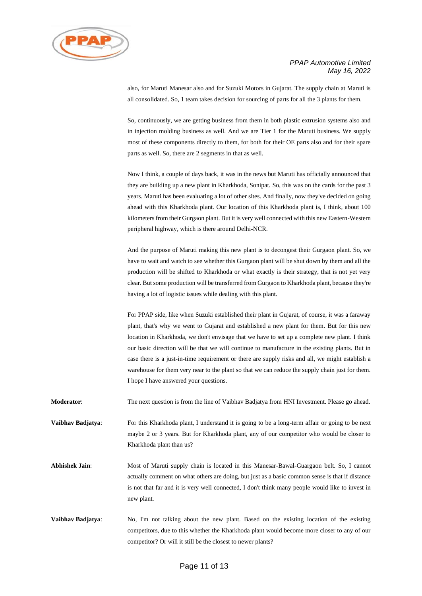

also, for Maruti Manesar also and for Suzuki Motors in Gujarat. The supply chain at Maruti is all consolidated. So, 1 team takes decision for sourcing of parts for all the 3 plants for them.

So, continuously, we are getting business from them in both plastic extrusion systems also and in injection molding business as well. And we are Tier 1 for the Maruti business. We supply most of these components directly to them, for both for their OE parts also and for their spare parts as well. So, there are 2 segments in that as well.

Now I think, a couple of days back, it was in the news but Maruti has officially announced that they are building up a new plant in Kharkhoda, Sonipat. So, this was on the cards for the past 3 years. Maruti has been evaluating a lot of other sites. And finally, now they've decided on going ahead with this Kharkhoda plant. Our location of this Kharkhoda plant is, I think, about 100 kilometers from their Gurgaon plant. But it is very well connected with this new Eastern-Western peripheral highway, which is there around Delhi-NCR.

And the purpose of Maruti making this new plant is to decongest their Gurgaon plant. So, we have to wait and watch to see whether this Gurgaon plant will be shut down by them and all the production will be shifted to Kharkhoda or what exactly is their strategy, that is not yet very clear. But some production will be transferred from Gurgaon to Kharkhoda plant, because they're having a lot of logistic issues while dealing with this plant.

For PPAP side, like when Suzuki established their plant in Gujarat, of course, it was a faraway plant, that's why we went to Gujarat and established a new plant for them. But for this new location in Kharkhoda, we don't envisage that we have to set up a complete new plant. I think our basic direction will be that we will continue to manufacture in the existing plants. But in case there is a just-in-time requirement or there are supply risks and all, we might establish a warehouse for them very near to the plant so that we can reduce the supply chain just for them. I hope I have answered your questions.

**Moderator**: The next question is from the line of Vaibhav Badjatya from HNI Investment. Please go ahead.

**Vaibhav Badjatya:** For this Kharkhoda plant, I understand it is going to be a long-term affair or going to be next maybe 2 or 3 years. But for Kharkhoda plant, any of our competitor who would be closer to Kharkhoda plant than us?

**Abhishek Jain**: Most of Maruti supply chain is located in this Manesar-Bawal-Guargaon belt. So, I cannot actually comment on what others are doing, but just as a basic common sense is that if distance is not that far and it is very well connected, I don't think many people would like to invest in new plant.

**Vaibhav Badjatya**: No, I'm not talking about the new plant. Based on the existing location of the existing competitors, due to this whether the Kharkhoda plant would become more closer to any of our competitor? Or will it still be the closest to newer plants?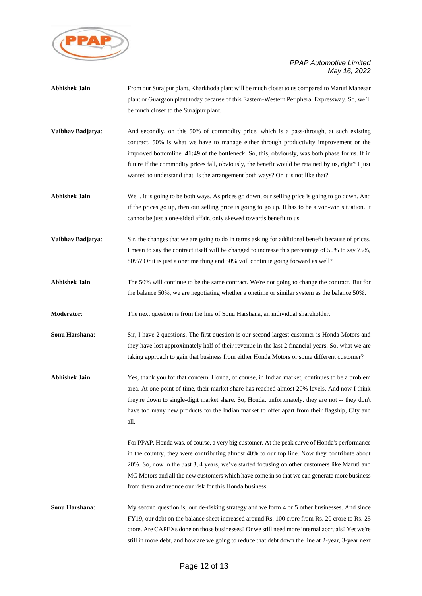

| <b>Abhishek Jain:</b> | From our Surajpur plant, Kharkhoda plant will be much closer to us compared to Maruti Manesar<br>plant or Guargaon plant today because of this Eastern-Western Peripheral Expressway. So, we'll<br>be much closer to the Surajpur plant.                                                                                                                                                                                                                                      |
|-----------------------|-------------------------------------------------------------------------------------------------------------------------------------------------------------------------------------------------------------------------------------------------------------------------------------------------------------------------------------------------------------------------------------------------------------------------------------------------------------------------------|
| Vaibhav Badjatya:     | And secondly, on this 50% of commodity price, which is a pass-through, at such existing<br>contract, 50% is what we have to manage either through productivity improvement or the<br>improved bottomline 41:49 of the bottleneck. So, this, obviously, was both phase for us. If in<br>future if the commodity prices fall, obviously, the benefit would be retained by us, right? I just<br>wanted to understand that. Is the arrangement both ways? Or it is not like that? |
| <b>Abhishek Jain:</b> | Well, it is going to be both ways. As prices go down, our selling price is going to go down. And<br>if the prices go up, then our selling price is going to go up. It has to be a win-win situation. It<br>cannot be just a one-sided affair, only skewed towards benefit to us.                                                                                                                                                                                              |
| Vaibhav Badjatya:     | Sir, the changes that we are going to do in terms asking for additional benefit because of prices,<br>I mean to say the contract itself will be changed to increase this percentage of 50% to say 75%,<br>80%? Or it is just a onetime thing and 50% will continue going forward as well?                                                                                                                                                                                     |
| <b>Abhishek Jain:</b> | The 50% will continue to be the same contract. We're not going to change the contract. But for<br>the balance 50%, we are negotiating whether a onetime or similar system as the balance 50%.                                                                                                                                                                                                                                                                                 |
| Moderator:            | The next question is from the line of Sonu Harshana, an individual shareholder.                                                                                                                                                                                                                                                                                                                                                                                               |
| Sonu Harshana:        | Sir, I have 2 questions. The first question is our second largest customer is Honda Motors and<br>they have lost approximately half of their revenue in the last 2 financial years. So, what we are<br>taking approach to gain that business from either Honda Motors or some different customer?                                                                                                                                                                             |
| <b>Abhishek Jain:</b> | Yes, thank you for that concern. Honda, of course, in Indian market, continues to be a problem<br>area. At one point of time, their market share has reached almost 20% levels. And now I think<br>they're down to single-digit market share. So, Honda, unfortunately, they are not -- they don't<br>have too many new products for the Indian market to offer apart from their flagship, City and<br>all.                                                                   |
|                       | For PPAP, Honda was, of course, a very big customer. At the peak curve of Honda's performance<br>in the country, they were contributing almost 40% to our top line. Now they contribute about<br>20%. So, now in the past 3, 4 years, we've started focusing on other customers like Maruti and<br>MG Motors and all the new customers which have come in so that we can generate more business<br>from them and reduce our risk for this Honda business.                     |
| Sonu Harshana:        | My second question is, our de-risking strategy and we form 4 or 5 other businesses. And since<br>FY19, our debt on the balance sheet increased around Rs. 100 crore from Rs. 20 crore to Rs. 25<br>crore. Are CAPEXs done on those businesses? Or we still need more internal accruals? Yet we're<br>still in more debt, and how are we going to reduce that debt down the line at 2-year, 3-year next                                                                        |